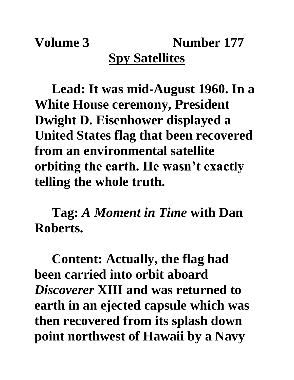## **Volume 3 Number 177 Spy Satellites**

**Lead: It was mid-August 1960. In a White House ceremony, President Dwight D. Eisenhower displayed a United States flag that been recovered from an environmental satellite orbiting the earth. He wasn't exactly telling the whole truth.**

**Tag:** *A Moment in Time* **with Dan Roberts.**

**Content: Actually, the flag had been carried into orbit aboard**  *Discoverer* **XIII and was returned to earth in an ejected capsule which was then recovered from its splash down point northwest of Hawaii by a Navy**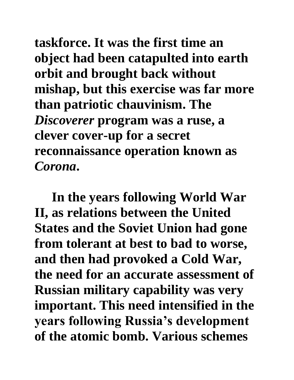**taskforce. It was the first time an object had been catapulted into earth orbit and brought back without mishap, but this exercise was far more than patriotic chauvinism. The**  *Discoverer* **program was a ruse, a clever cover-up for a secret reconnaissance operation known as**  *Corona***.**

**In the years following World War II, as relations between the United States and the Soviet Union had gone from tolerant at best to bad to worse, and then had provoked a Cold War, the need for an accurate assessment of Russian military capability was very important. This need intensified in the years following Russia's development of the atomic bomb. Various schemes**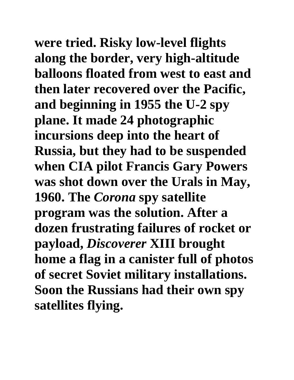**were tried. Risky low-level flights along the border, very high-altitude balloons floated from west to east and then later recovered over the Pacific, and beginning in 1955 the U-2 spy plane. It made 24 photographic incursions deep into the heart of Russia, but they had to be suspended when CIA pilot Francis Gary Powers was shot down over the Urals in May, 1960. The** *Corona* **spy satellite program was the solution. After a dozen frustrating failures of rocket or payload,** *Discoverer* **XIII brought home a flag in a canister full of photos of secret Soviet military installations. Soon the Russians had their own spy satellites flying.**